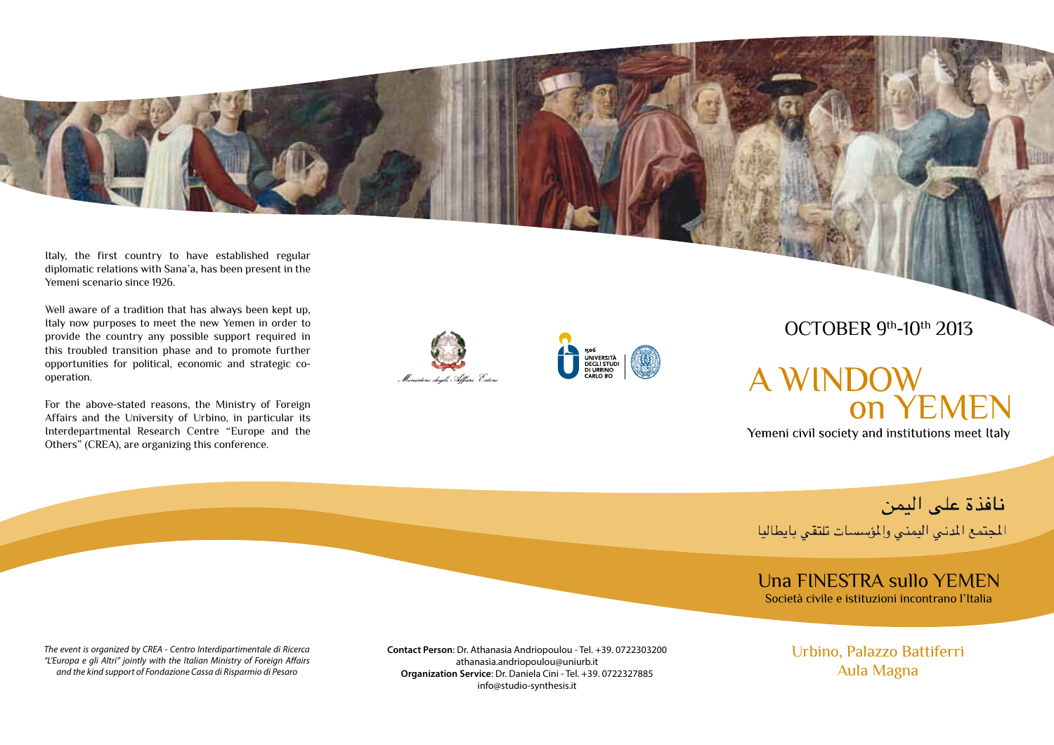Italy, the first country to have established regular diplomatic relations with Sana'a, has been present in the Yemeni scenario since 1926.

Well aware of a tradition that has always been kept up, Italy now purposes to meet the new Yemen in order to provide the country any possible support required in this troubled transition phase and to promote further opportunities for political, economic and strategic cooperation.

For the above-stated reasons, the Ministry of Foreign Affairs and the University of Urbino, in particular its Interdepartmental Research Centre "Europe and the Others" (CREA), are organizing this conference.





# OCTOBER 9th-10th 2013

# **A WINDOW ON YEMEN**

Yemeni civil society and institutions meet Italy

نافذة على اليمن

المجتمع المدنى اليمنى والمؤسسات تلتقى بايطاليا

### Una FINESTRA sullo YEMEN Società civile e istituzioni incontrano l'Italia

*The event is organized by CREA - Centro Interdipartimentale di Ricerca "L'Europa e gli Altri" jointly with the Italian Ministry of Foreign Affairs and the kind support of Fondazione Cassa di Risparmio di Pesaro*

**Contact Person**: Dr. Athanasia Andriopoulou - Tel. +39. 0722303200 athanasia.andriopoulou@uniurb.it **Organization Service**: Dr. Daniela Cini - Tel. +39. 0722327885 info@studio-synthesis.it

Urbino, Palazzo Battiferri Aula Magna